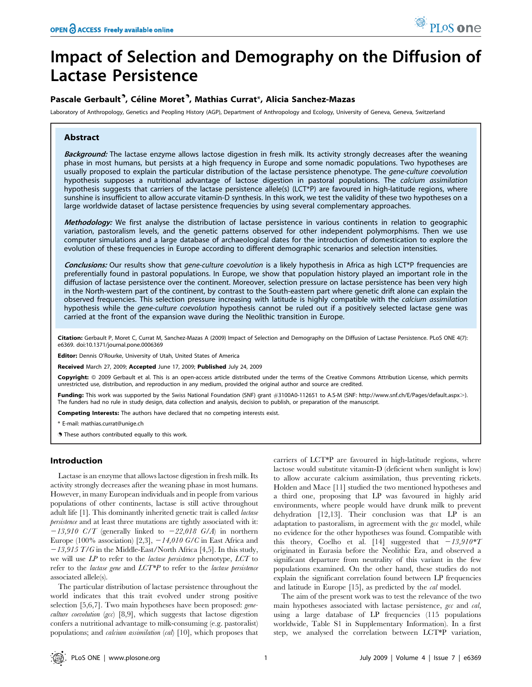# Impact of Selection and Demography on the Diffusion of Lactase Persistence

## Pascale Gerbault<sup>9</sup>, Céline Moret<sup>9</sup>, Mathias Currat\*, Alicia Sanchez-Mazas

Laboratory of Anthropology, Genetics and Peopling History (AGP), Department of Anthropology and Ecology, University of Geneva, Geneva, Switzerland

## Abstract

Background: The lactase enzyme allows lactose digestion in fresh milk. Its activity strongly decreases after the weaning phase in most humans, but persists at a high frequency in Europe and some nomadic populations. Two hypotheses are usually proposed to explain the particular distribution of the lactase persistence phenotype. The gene-culture coevolution hypothesis supposes a nutritional advantage of lactose digestion in pastoral populations. The calcium assimilation hypothesis suggests that carriers of the lactase persistence allele(s) (LCT\*P) are favoured in high-latitude regions, where sunshine is insufficient to allow accurate vitamin-D synthesis. In this work, we test the validity of these two hypotheses on a large worldwide dataset of lactase persistence frequencies by using several complementary approaches.

Methodology: We first analyse the distribution of lactase persistence in various continents in relation to geographic variation, pastoralism levels, and the genetic patterns observed for other independent polymorphisms. Then we use computer simulations and a large database of archaeological dates for the introduction of domestication to explore the evolution of these frequencies in Europe according to different demographic scenarios and selection intensities.

Conclusions: Our results show that gene-culture coevolution is a likely hypothesis in Africa as high LCT\*P frequencies are preferentially found in pastoral populations. In Europe, we show that population history played an important role in the diffusion of lactase persistence over the continent. Moreover, selection pressure on lactase persistence has been very high in the North-western part of the continent, by contrast to the South-eastern part where genetic drift alone can explain the observed frequencies. This selection pressure increasing with latitude is highly compatible with the calcium assimilation hypothesis while the gene-culture coevolution hypothesis cannot be ruled out if a positively selected lactase gene was carried at the front of the expansion wave during the Neolithic transition in Europe.

Citation: Gerbault P, Moret C, Currat M, Sanchez-Mazas A (2009) Impact of Selection and Demography on the Diffusion of Lactase Persistence. PLoS ONE 4(7): e6369. doi:10.1371/journal.pone.0006369

Editor: Dennis O'Rourke, University of Utah, United States of America

Received March 27, 2009; Accepted June 17, 2009; Published July 24, 2009

Copyright: @ 2009 Gerbault et al. This is an open-access article distributed under the terms of the Creative Commons Attribution License, which permits unrestricted use, distribution, and reproduction in any medium, provided the original author and source are credited.

Funding: This work was supported by the Swiss National Foundation (SNF) grant *#*3100A0-112651 to A.S-M (SNF: http://www.snf.ch/E/Pages/default.aspx.). The funders had no rule in study design, data collection and analysis, decision to publish, or preparation of the manuscript.

Competing Interests: The authors have declared that no competing interests exist.

\* E-mail: mathias.currat@unige.ch

**.** These authors contributed equally to this work.

## Introduction

Lactase is an enzyme that allows lactose digestion in fresh milk. Its activity strongly decreases after the weaning phase in most humans. However, in many European individuals and in people from various populations of other continents, lactase is still active throughout adult life [1]. This dominantly inherited genetic trait is called lactase persistence and at least three mutations are tightly associated with it:  $-13,910$  C/T (generally linked to  $-22,018$  G/A) in northern Europe (100% association) [2,3],  $-14,010$  G/C in East Africa and  $-13,915$  T/G in the Middle-East/North Africa [4,5]. In this study, we will use  $LP$  to refer to the *lactase persistence* phenotype,  $LCT$  to refer to the *lactase gene* and  $LCT*P$  to refer to the *lactase persistence* associated allele(s).

The particular distribution of lactase persistence throughout the world indicates that this trait evolved under strong positive selection [5,6,7]. Two main hypotheses have been proposed: geneculture coevolution (gcc) [8,9], which suggests that lactose digestion confers a nutritional advantage to milk-consuming (e.g. pastoralist) populations; and *calcium assimilation* (*cal*) [10], which proposes that carriers of LCT\*P are favoured in high-latitude regions, where lactose would substitute vitamin-D (deficient when sunlight is low) to allow accurate calcium assimilation, thus preventing rickets. Holden and Mace [11] studied the two mentioned hypotheses and a third one, proposing that LP was favoured in highly arid environments, where people would have drunk milk to prevent dehydration [12,13]. Their conclusion was that LP is an adaptation to pastoralism, in agreement with the gcc model, while no evidence for the other hypotheses was found. Compatible with this theory, Coelho et al. [14] suggested that  $-13,910*T$ originated in Eurasia before the Neolithic Era, and observed a significant departure from neutrality of this variant in the few populations examined. On the other hand, these studies do not explain the significant correlation found between LP frequencies and latitude in Europe [15], as predicted by the cal model.

The aim of the present work was to test the relevance of the two main hypotheses associated with lactase persistence, gcc and cal, using a large database of LP frequencies (115 populations worldwide, Table S1 in Supplementary Information). In a first step, we analysed the correlation between LCT\*P variation,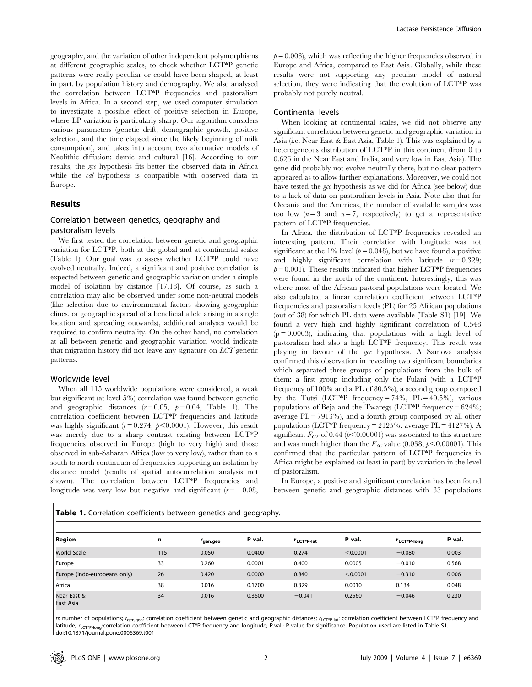geography, and the variation of other independent polymorphisms at different geographic scales, to check whether LCT\*P genetic patterns were really peculiar or could have been shaped, at least in part, by population history and demography. We also analysed the correlation between LCT\*P frequencies and pastoralism levels in Africa. In a second step, we used computer simulation to investigate a possible effect of positive selection in Europe, where LP variation is particularly sharp. Our algorithm considers various parameters (genetic drift, demographic growth, positive selection, and the time elapsed since the likely beginning of milk consumption), and takes into account two alternative models of Neolithic diffusion: demic and cultural [16]. According to our results, the gcc hypothesis fits better the observed data in Africa while the *cal* hypothesis is compatible with observed data in Europe.

## Results

## Correlation between genetics, geography and pastoralism levels

We first tested the correlation between genetic and geographic variation for LCT\*P, both at the global and at continental scales (Table 1). Our goal was to assess whether LCT\*P could have evolved neutrally. Indeed, a significant and positive correlation is expected between genetic and geographic variation under a simple model of isolation by distance [17,18]. Of course, as such a correlation may also be observed under some non-neutral models (like selection due to environmental factors showing geographic clines, or geographic spread of a beneficial allele arising in a single location and spreading outwards), additional analyses would be required to confirm neutrality. On the other hand, no correlation at all between genetic and geographic variation would indicate that migration history did not leave any signature on LCT genetic patterns.

#### Worldwide level

 $\blacksquare$ 

When all 115 worldwide populations were considered, a weak but significant (at level 5%) correlation was found between genetic and geographic distances  $(r=0.05, p=0.04,$  Table 1). The correlation coefficient between LCT\*P frequencies and latitude was highly significant ( $r = 0.274$ ,  $p < 0.0001$ ). However, this result was merely due to a sharp contrast existing between LCT\*P frequencies observed in Europe (high to very high) and those observed in sub-Saharan Africa (low to very low), rather than to a south to north continuum of frequencies supporting an isolation by distance model (results of spatial autocorrelation analysis not shown). The correlation between LCT\*P frequencies and longitude was very low but negative and significant  $(r=-0.08$ ,

 $p= 0.003$ , which was reflecting the higher frequencies observed in Europe and Africa, compared to East Asia. Globally, while these results were not supporting any peculiar model of natural selection, they were indicating that the evolution of LCT\*P was probably not purely neutral.

## Continental levels

When looking at continental scales, we did not observe any significant correlation between genetic and geographic variation in Asia (i.e. Near East & East Asia, Table 1). This was explained by a heterogeneous distribution of LCT\*P in this continent (from 0 to 0.626 in the Near East and India, and very low in East Asia). The gene did probably not evolve neutrally there, but no clear pattern appeared as to allow further explanations. Moreover, we could not have tested the gcc hypothesis as we did for Africa (see below) due to a lack of data on pastoralism levels in Asia. Note also that for Oceania and the Americas, the number of available samples was too low  $(n=3$  and  $n=7$ , respectively) to get a representative pattern of LCT\*P frequencies.

In Africa, the distribution of LCT\*P frequencies revealed an interesting pattern. Their correlation with longitude was not significant at the 1% level ( $p = 0.048$ ), but we have found a positive and highly significant correlation with latitude  $(r= 0.329;$  $p= 0.001$ ). These results indicated that higher LCT\*P frequencies were found in the north of the continent. Interestingly, this was where most of the African pastoral populations were located. We also calculated a linear correlation coefficient between LCT\*P frequencies and pastoralism levels (PL) for 25 African populations (out of 38) for which PL data were available (Table S1) [19]. We found a very high and highly significant correlation of 0.548  $(p = 0.0003)$ , indicating that populations with a high level of pastoralism had also a high LCT\*P frequency. This result was playing in favour of the gcc hypothesis. A Samova analysis confirmed this observation in revealing two significant boundaries which separated three groups of populations from the bulk of them: a first group including only the Fulani (with a LCT\*P frequency of 100% and a PL of 80.5%), a second group composed by the Tutsi (LCT\*P frequency =  $74\%$ , PL =  $40.5\%$ ), various populations of Beja and the Twaregs (LCT\*P frequency = 624%; average PL = 7913%), and a fourth group composed by all other populations (LCT\*P frequency = 2125%, average PL = 4127%). A significant  $F_{CT}$  of 0.44 ( $p<0.00001$ ) was associated to this structure and was much higher than the  $F_{SC}$  value (0.038,  $p<0.00001$ ). This confirmed that the particular pattern of LCT\*P frequencies in Africa might be explained (at least in part) by variation in the level of pastoralism.

In Europe, a positive and significant correlation has been found between genetic and geographic distances with 33 populations

| Table 1. Correlation coefficients between genetics and geography. |  |  |
|-------------------------------------------------------------------|--|--|
|-------------------------------------------------------------------|--|--|

| <b>Region</b>                | n   | r <sub>gen,geo</sub> | P val. | <b>I'LCT*P-lat</b> | P val.   | <b>I'LCT*P-long</b> | P val. |
|------------------------------|-----|----------------------|--------|--------------------|----------|---------------------|--------|
| <b>World Scale</b>           | 115 | 0.050                | 0.0400 | 0.274              | < 0.0001 | $-0.080$            | 0.003  |
| Europe                       | 33  | 0.260                | 0.0001 | 0.400              | 0.0005   | $-0.010$            | 0.568  |
| Europe (indo-europeans only) | 26  | 0.420                | 0.0000 | 0.840              | < 0.0001 | $-0.310$            | 0.006  |
| Africa                       | 38  | 0.016                | 0.1700 | 0.329              | 0.0010   | 0.134               | 0.048  |
| Near East &<br>East Asia     | 34  | 0.016                | 0.3600 | $-0.041$           | 0.2560   | $-0.046$            | 0.230  |

n: number of populations; r<sub>gen,qeo</sub>: correlation coefficient between genetic and geographic distances; r<sub>LCT\*P-lat</sub>: correlation coefficient between LCT\*P frequency and latitude; rLCT\*P-long:correlation coefficient between LCT\*P frequency and longitude; P.val.: P-value for significance. Population used are listed in Table S1. doi:10.1371/journal.pone.0006369.t001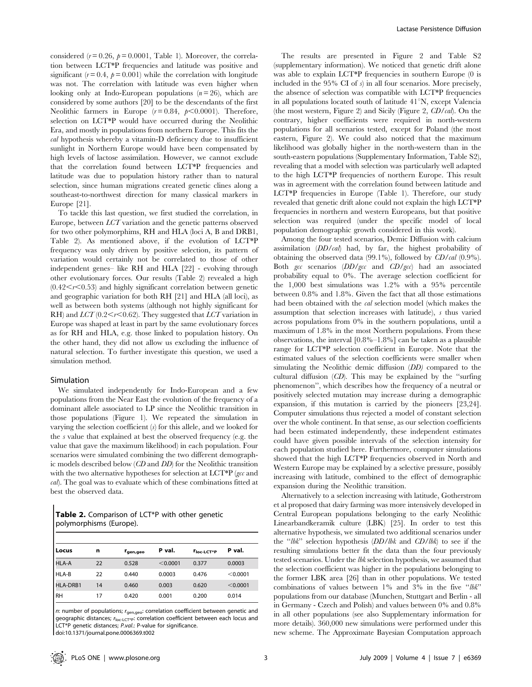considered ( $r = 0.26$ ,  $p = 0.0001$ , Table 1). Moreover, the correlation between LCT\*P frequencies and latitude was positive and significant  $(r= 0.4, p= 0.001)$  while the correlation with longitude was not. The correlation with latitude was even higher when looking only at Indo-European populations  $(n = 26)$ , which are considered by some authors [20] to be the descendants of the first Neolithic farmers in Europe  $(r=0.84, p<0.0001)$ . Therefore, selection on LCT\*P would have occurred during the Neolithic Era, and mostly in populations from northern Europe. This fits the cal hypothesis whereby a vitamin-D deficiency due to insufficient sunlight in Northern Europe would have been compensated by high levels of lactose assimilation. However, we cannot exclude that the correlation found between LCT\*P frequencies and latitude was due to population history rather than to natural selection, since human migrations created genetic clines along a southeast-to-northwest direction for many classical markers in Europe [21].

To tackle this last question, we first studied the correlation, in Europe, between LCT variation and the genetic patterns observed for two other polymorphims, RH and HLA (loci A, B and DRB1, Table 2). As mentioned above, if the evolution of LCT\*P frequency was only driven by positive selection, its pattern of variation would certainly not be correlated to those of other independent genes– like RH and HLA [22] - evolving through other evolutionary forces. Our results (Table 2) revealed a high  $(0.42 \le r \le 0.53)$  and highly significant correlation between genetic and geographic variation for both RH [21] and HLA (all loci), as well as between both systems (although not highly significant for RH) and  $LCT$  (0.2 $\lt$ r $\lt$ 0.62). They suggested that  $LCT$  variation in Europe was shaped at least in part by the same evolutionary forces as for RH and HLA, e.g. those linked to population history. On the other hand, they did not allow us excluding the influence of natural selection. To further investigate this question, we used a simulation method.

#### Simulation

We simulated independently for Indo-European and a few populations from the Near East the evolution of the frequency of a dominant allele associated to LP since the Neolithic transition in those populations (Figure 1). We repeated the simulation in varying the selection coefficient  $(s)$  for this allele, and we looked for the s value that explained at best the observed frequency (e.g. the value that gave the maximum likelihood) in each population. Four scenarios were simulated combining the two different demographic models described below (CD and DD) for the Neolithic transition with the two alternative hypotheses for selection at  $LCT*P$  (gcc and cal). The goal was to evaluate which of these combinations fitted at best the observed data.

Table 2. Comparison of LCT\*P with other genetic polymorphisms (Europe).

| Locus     | n  | r <sub>gen,geo</sub> | P val.   | Tloc-LCT*P | P val.   |
|-----------|----|----------------------|----------|------------|----------|
| HLA-A     | 22 | 0.528                | < 0.0001 | 0.377      | 0.0003   |
| HLA-B     | 22 | 0.440                | 0.0003   | 0.476      | < 0.0001 |
| HLA-DRB1  | 14 | 0.460                | 0.003    | 0.620      | < 0.0001 |
| <b>RH</b> | 17 | 0.420                | 0.001    | 0.200      | 0.014    |

n: number of populations;  $r_{\text{gen,geo}}$ : correlation coefficient between genetic and geographic distances;  $r_{\text{loc-lCT}^*p}$ : correlation coefficient between each locus and LCT\*P genetic distances; P.val.: P-value for significance. doi:10.1371/journal.pone.0006369.t002

The results are presented in Figure 2 and Table S2 (supplementary information). We noticed that genetic drift alone was able to explain LCT\*P frequencies in southern Europe (0 is included in the 95% CI of  $s$ ) in all four scenarios. More precisely, the absence of selection was compatible with LCT\*P frequencies in all populations located south of latitude  $41^{\circ}$ N, except Valencia (the most western, Figure 2) and Sicily (Figure 2, CD/cal). On the contrary, higher coefficients were required in north-western populations for all scenarios tested, except for Poland (the most eastern, Figure 2). We could also noticed that the maximum likelihood was globally higher in the north-western than in the south-eastern populations (Supplementary Information, Table S2), revealing that a model with selection was particularly well adapted to the high LCT\*P frequencies of northern Europe. This result was in agreement with the correlation found between latitude and LCT\*P frequencies in Europe (Table 1). Therefore, our study revealed that genetic drift alone could not explain the high LCT\*P frequencies in northern and western Europeans, but that positive selection was required (under the specific model of local population demographic growth considered in this work).

Among the four tested scenarios, Demic Diffusion with calcium assimilation (DD/cal) had, by far, the highest probability of obtaining the observed data  $(99.1\%)$ , followed by  $CD/cal$   $(0.9\%)$ . Both  $\epsilon$  scenarios  $\left(DD/\epsilon$  and  $CD/\epsilon$  and an associated probability equal to 0%. The average selection coefficient for the 1,000 best simulations was 1.2% with a 95% percentile between 0.8% and 1.8%. Given the fact that all those estimations had been obtained with the cal selection model (which makes the assumption that selection increases with latitude), s thus varied across populations from 0% in the southern populations, until a maximum of 1.8% in the most Northern populations. From these observations, the interval [0.8%–1.8%] can be taken as a plausible range for LCT\*P selection coefficient in Europe. Note that the estimated values of the selection coefficients were smaller when simulating the Neolithic demic diffusion (DD) compared to the cultural diffusion  $(CD)$ . This may be explained by the "surfing" phenomenon'', which describes how the frequency of a neutral or positively selected mutation may increase during a demographic expansion, if this mutation is carried by the pioneers [23,24]. Computer simulations thus rejected a model of constant selection over the whole continent. In that sense, as our selection coefficients had been estimated independently, these independent estimates could have given possible intervals of the selection intensity for each population studied here. Furthermore, computer simulations showed that the high LCT\*P frequencies observed in North and Western Europe may be explained by a selective pressure, possibly increasing with latitude, combined to the effect of demographic expansion during the Neolithic transition.

Alternatively to a selection increasing with latitude, Gotherstrom et al proposed that dairy farming was more intensively developed in Central European populations belonging to the early Neolithic Linearbandkeramik culture (LBK) [25]. In order to test this alternative hypothesis, we simulated two additional scenarios under the " $lbk$ " selection hypothesis  $\left(DD/lbk\right)$  and  $\left(CD/lbk\right)$  to see if the resulting simulations better fit the data than the four previously tested scenarios. Under the lbk selection hypothesis, we assumed that the selection coefficient was higher in the populations belonging to the former LBK area [26] than in other populations. We tested combinations of values between  $1\%$  and  $3\%$  in the five "lbk" populations from our database (Munchen, Stuttgart and Berlin - all in Germany - Czech and Polish) and values between 0% and 0.8% in all other populations (see also Supplementary information for more details). 360,000 new simulations were performed under this new scheme. The Approximate Bayesian Computation approach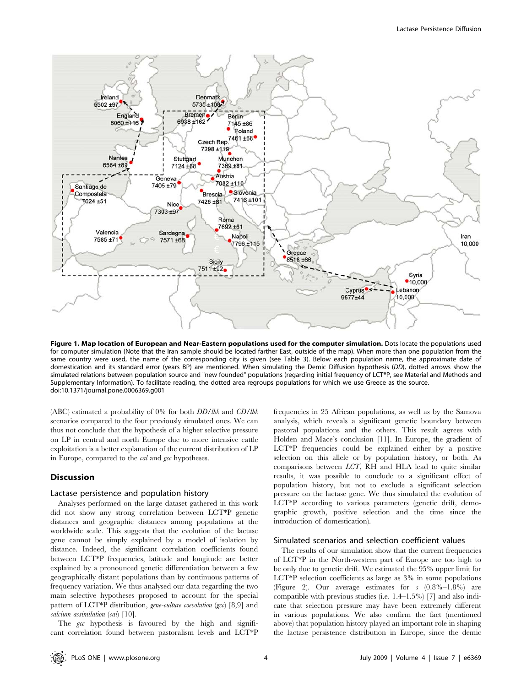

Figure 1. Map location of European and Near-Eastern populations used for the computer simulation. Dots locate the populations used for computer simulation (Note that the Iran sample should be located farther East, outside of the map). When more than one population from the same country were used, the name of the corresponding city is given (see Table 3). Below each population name, the approximate date of domestication and its standard error (years BP) are mentioned. When simulating the Demic Diffusion hypothesis (DD), dotted arrows show the simulated relations between population source and "new founded" populations (regarding initial frequency of LCT\*P, see Material and Methods and Supplementary Information). To facilitate reading, the dotted area regroups populations for which we use Greece as the source. doi:10.1371/journal.pone.0006369.g001

(ABC) estimated a probability of 0% for both DD/lbk and CD/lbk scenarios compared to the four previously simulated ones. We can thus not conclude that the hypothesis of a higher selective pressure on LP in central and north Europe due to more intensive cattle exploitation is a better explanation of the current distribution of LP in Europe, compared to the *cal* and *gcc* hypotheses.

## **Discussion**

#### Lactase persistence and population history

Analyses performed on the large dataset gathered in this work did not show any strong correlation between LCT\*P genetic distances and geographic distances among populations at the worldwide scale. This suggests that the evolution of the lactase gene cannot be simply explained by a model of isolation by distance. Indeed, the significant correlation coefficients found between LCT\*P frequencies, latitude and longitude are better explained by a pronounced genetic differentiation between a few geographically distant populations than by continuous patterns of frequency variation. We thus analysed our data regarding the two main selective hypotheses proposed to account for the special pattern of LCT\*P distribution, gene-culture coevolution (gcc) [8,9] and calcium assimilation (cal) [10].

The gcc hypothesis is favoured by the high and significant correlation found between pastoralism levels and LCT\*P

frequencies in 25 African populations, as well as by the Samova analysis, which reveals a significant genetic boundary between pastoral populations and the others. This result agrees with Holden and Mace's conclusion [11]. In Europe, the gradient of LCT\*P frequencies could be explained either by a positive selection on this allele or by population history, or both. As comparisons between LCT, RH and HLA lead to quite similar results, it was possible to conclude to a significant effect of population history, but not to exclude a significant selection pressure on the lactase gene. We thus simulated the evolution of LCT\*P according to various parameters (genetic drift, demographic growth, positive selection and the time since the introduction of domestication).

## Simulated scenarios and selection coefficient values

The results of our simulation show that the current frequencies of LCT\*P in the North-western part of Europe are too high to be only due to genetic drift. We estimated the 95% upper limit for LCT\*P selection coefficients as large as 3% in some populations (Figure 2). Our average estimates for s (0.8%–1.8%) are compatible with previous studies (i.e. 1.4–1.5%) [7] and also indicate that selection pressure may have been extremely different in various populations. We also confirm the fact (mentioned above) that population history played an important role in shaping the lactase persistence distribution in Europe, since the demic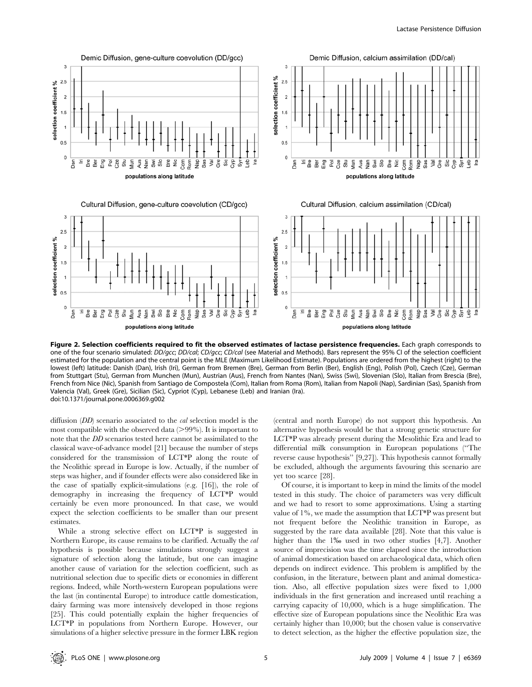

Figure 2. Selection coefficients required to fit the observed estimates of lactase persistence frequencies. Each graph corresponds to one of the four scenario simulated: DD/qcc; DD/cal; CD/qcc; CD/cal (see Material and Methods). Bars represent the 95% CI of the selection coefficient estimated for the population and the central point is the MLE (Maximum Likelihood Estimate). Populations are ordered from the highest (right) to the lowest (left) latitude: Danish (Dan), Irish (Iri), German from Bremen (Bre), German from Berlin (Ber), English (Eng), Polish (Pol), Czech (Cze), German from Stuttgart (Stu), German from Munchen (Mun), Austrian (Aus), French from Nantes (Nan), Swiss (Swi), Slovenian (Slo), Italian from Brescia (Bre), French from Nice (Nic), Spanish from Santiago de Compostela (Com), Italian from Roma (Rom), Italian from Napoli (Nap), Sardinian (Sas), Spanish from Valencia (Val), Greek (Gre), Sicilian (Sic), Cypriot (Cyp), Lebanese (Leb) and Iranian (Ira). doi:10.1371/journal.pone.0006369.g002

diffusion (DD) scenario associated to the *cal* selection model is the most compatible with the observed data  $(>99\%)$ . It is important to note that the DD scenarios tested here cannot be assimilated to the classical wave-of-advance model [21] because the number of steps considered for the transmission of LCT\*P along the route of the Neolithic spread in Europe is low. Actually, if the number of steps was higher, and if founder effects were also considered like in the case of spatially explicit-simulations (e.g. [16]), the role of demography in increasing the frequency of LCT\*P would certainly be even more pronounced. In that case, we would expect the selection coefficients to be smaller than our present estimates.

While a strong selective effect on LCT\*P is suggested in Northern Europe, its cause remains to be clarified. Actually the cal hypothesis is possible because simulations strongly suggest a signature of selection along the latitude, but one can imagine another cause of variation for the selection coefficient, such as nutritional selection due to specific diets or economies in different regions. Indeed, while North-western European populations were the last (in continental Europe) to introduce cattle domestication, dairy farming was more intensively developed in those regions [25]. This could potentially explain the higher frequencies of LCT\*P in populations from Northern Europe. However, our simulations of a higher selective pressure in the former LBK region (central and north Europe) do not support this hypothesis. An alternative hypothesis would be that a strong genetic structure for LCT\*P was already present during the Mesolithic Era and lead to differential milk consumption in European populations (''The reverse cause hypothesis'' [9,27]). This hypothesis cannot formally be excluded, although the arguments favouring this scenario are yet too scarce [28].

Of course, it is important to keep in mind the limits of the model tested in this study. The choice of parameters was very difficult and we had to resort to some approximations. Using a starting value of 1%, we made the assumption that LCT\*P was present but not frequent before the Neolithic transition in Europe, as suggested by the rare data available [28]. Note that this value is higher than the 1<sup>%</sup> used in two other studies [4,7]. Another source of imprecision was the time elapsed since the introduction of animal domestication based on archaeological data, which often depends on indirect evidence. This problem is amplified by the confusion, in the literature, between plant and animal domestication. Also, all effective population sizes were fixed to 1,000 individuals in the first generation and increased until reaching a carrying capacity of 10,000, which is a huge simplification. The effective size of European populations since the Neolithic Era was certainly higher than 10,000; but the chosen value is conservative to detect selection, as the higher the effective population size, the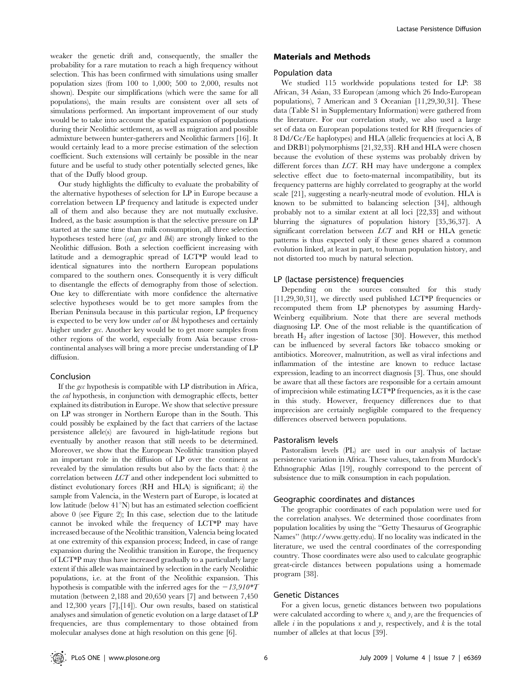weaker the genetic drift and, consequently, the smaller the probability for a rare mutation to reach a high frequency without selection. This has been confirmed with simulations using smaller population sizes (from 100 to 1,000; 500 to 2,000, results not shown). Despite our simplifications (which were the same for all populations), the main results are consistent over all sets of simulations performed. An important improvement of our study would be to take into account the spatial expansion of populations during their Neolithic settlement, as well as migration and possible admixture between hunter-gatherers and Neolithic farmers [16]. It would certainly lead to a more precise estimation of the selection coefficient. Such extensions will certainly be possible in the near future and be useful to study other potentially selected genes, like that of the Duffy blood group.

Our study highlights the difficulty to evaluate the probability of the alternative hypotheses of selection for LP in Europe because a correlation between LP frequency and latitude is expected under all of them and also because they are not mutually exclusive. Indeed, as the basic assumption is that the selective pressure on LP started at the same time than milk consumption, all three selection hypotheses tested here (cal, gcc and lbk) are strongly linked to the Neolithic diffusion. Both a selection coefficient increasing with latitude and a demographic spread of LCT\*P would lead to identical signatures into the northern European populations compared to the southern ones. Consequently it is very difficult to disentangle the effects of demography from those of selection. One key to differentiate with more confidence the alternative selective hypotheses would be to get more samples from the Iberian Peninsula because in this particular region, LP frequency is expected to be very low under cal or lbk hypotheses and certainly higher under *gcc*. Another key would be to get more samples from other regions of the world, especially from Asia because crosscontinental analyses will bring a more precise understanding of LP diffusion.

#### Conclusion

If the gcc hypothesis is compatible with LP distribution in Africa, the cal hypothesis, in conjunction with demographic effects, better explained its distribution in Europe. We show that selective pressure on LP was stronger in Northern Europe than in the South. This could possibly be explained by the fact that carriers of the lactase persistence allele(s) are favoured in high-latitude regions but eventually by another reason that still needs to be determined. Moreover, we show that the European Neolithic transition played an important role in the diffusion of LP over the continent as revealed by the simulation results but also by the facts that:  $i$ ) the correlation between LCT and other independent loci submitted to distinct evolutionary forces (RH and HLA) is significant;  $\dot{u}$ ) the sample from Valencia, in the Western part of Europe, is located at low latitude (below  $41^{\circ}$ N) but has an estimated selection coefficient above 0 (see Figure 2); In this case, selection due to the latitude cannot be invoked while the frequency of LCT\*P may have increased because of the Neolithic transition, Valencia being located at one extremity of this expansion process; Indeed, in case of range expansion during the Neolithic transition in Europe, the frequency of LCT\*P may thus have increased gradually to a particularly large extent if this allele was maintained by selection in the early Neolithic populations, i.e. at the front of the Neolithic expansion. This hypothesis is compatible with the inferred ages for the  $-13,910*T$ mutation (between 2,188 and 20,650 years [7] and between 7,450 and 12,300 years [7],[14]). Our own results, based on statistical analyses and simulation of genetic evolution on a large dataset of LP frequencies, are thus complementary to those obtained from molecular analyses done at high resolution on this gene [6].

## Materials and Methods

## Population data

We studied 115 worldwide populations tested for LP: 38 African, 34 Asian, 33 European (among which 26 Indo-European populations), 7 American and 3 Oceanian [11,29,30,31]. These data (Table S1 in Supplementary Information) were gathered from the literature. For our correlation study, we also used a large set of data on European populations tested for RH (frequencies of 8 Dd/Cc/Ee haplotypes) and HLA (allelic frequencies at loci A, B and DRB1) polymorphisms [21,32,33]. RH and HLA were chosen because the evolution of these systems was probably driven by different forces than LCT. RH may have undergone a complex selective effect due to foeto-maternal incompatibility, but its frequency patterns are highly correlated to geography at the world scale [21], suggesting a nearly-neutral mode of evolution. HLA is known to be submitted to balancing selection [34], although probably not to a similar extent at all loci [22,33] and without blurring the signatures of population history [35,36,37]. A significant correlation between LCT and RH or HLA genetic patterns is thus expected only if these genes shared a common evolution linked, at least in part, to human population history, and not distorted too much by natural selection.

## LP (lactase persistence) frequencies

Depending on the sources consulted for this study [11,29,30,31], we directly used published LCT\*P frequencies or recomputed them from LP phenotypes by assuming Hardy-Weinberg equilibrium. Note that there are several methods diagnosing LP. One of the most reliable is the quantification of breath  $H_2$  after ingestion of lactose [30]. However, this method can be influenced by several factors like tobacco smoking or antibiotics. Moreover, malnutrition, as well as viral infections and inflammation of the intestine are known to reduce lactase expression, leading to an incorrect diagnosis [3]. Thus, one should be aware that all these factors are responsible for a certain amount of imprecision while estimating LCT\*P frequencies, as it is the case in this study. However, frequency differences due to that imprecision are certainly negligible compared to the frequency differences observed between populations.

## Pastoralism levels

Pastoralism levels (PL) are used in our analysis of lactase persistence variation in Africa. These values, taken from Murdock's Ethnographic Atlas [19], roughly correspond to the percent of subsistence due to milk consumption in each population.

#### Geographic coordinates and distances

The geographic coordinates of each population were used for the correlation analyses. We determined those coordinates from population localities by using the ''Getty Thesaurus of Geographic Names'' (http://www.getty.edu). If no locality was indicated in the literature, we used the central coordinates of the corresponding country. Those coordinates were also used to calculate geographic great-circle distances between populations using a homemade program [38].

#### Genetic Distances

For a given locus, genetic distances between two populations were calculated according to where  $x_i$  and  $y_i$  are the frequencies of allele  $i$  in the populations  $x$  and  $y$ , respectively, and  $k$  is the total number of alleles at that locus [39].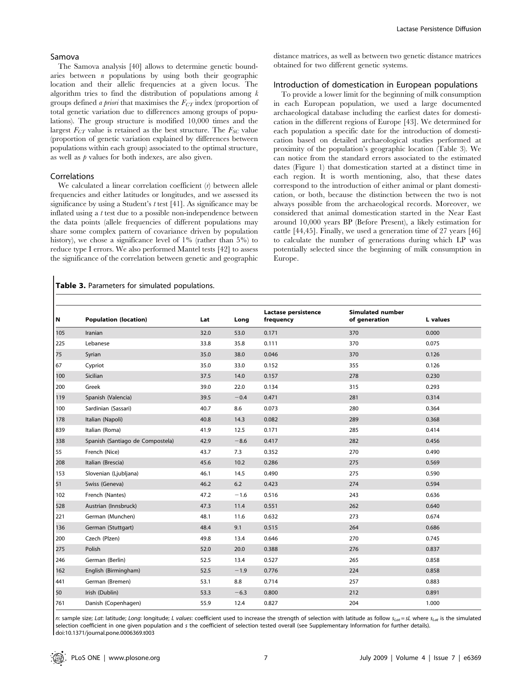The Samova analysis [40] allows to determine genetic boundaries between  $n$  populations by using both their geographic location and their allelic frequencies at a given locus. The algorithm tries to find the distribution of populations among  $k$ groups defined a priori that maximises the  $F_{CT}$  index (proportion of total genetic variation due to differences among groups of populations). The group structure is modified 10,000 times and the largest  $F_{CT}$  value is retained as the best structure. The  $F_{SC}$  value (proportion of genetic variation explained by differences between populations within each group) associated to the optimal structure, as well as  $p$  values for both indexes, are also given.

## Correlations

We calculated a linear correlation coefficient  $(r)$  between allele frequencies and either latitudes or longitudes, and we assessed its significance by using a Student's  $t$  test [41]. As significance may be inflated using a t test due to a possible non-independence between the data points (allele frequencies of different populations may share some complex pattern of covariance driven by population history), we chose a significance level of  $1\%$  (rather than  $5\%$ ) to reduce type I errors. We also performed Mantel tests [42] to assess the significance of the correlation between genetic and geographic

## distance matrices, as well as between two genetic distance matrices obtained for two different genetic systems.

## Introduction of domestication in European populations

To provide a lower limit for the beginning of milk consumption in each European population, we used a large documented archaeological database including the earliest dates for domestication in the different regions of Europe [43]. We determined for each population a specific date for the introduction of domestication based on detailed archaeological studies performed at proximity of the population's geographic location (Table 3). We can notice from the standard errors associated to the estimated dates (Figure 1) that domestication started at a distinct time in each region. It is worth mentioning, also, that these dates correspond to the introduction of either animal or plant domestication, or both, because the distinction between the two is not always possible from the archaeological records. Moreover, we considered that animal domestication started in the Near East around 10,000 years BP (Before Present), a likely estimation for cattle [44,45]. Finally, we used a generation time of 27 years [46] to calculate the number of generations during which LP was potentially selected since the beginning of milk consumption in Europe.

#### Table 3. Parameters for simulated populations.

| N   | <b>Population (location)</b>     | Lat  | Long   | Lactase persistence<br>frequency | <b>Simulated number</b><br>of generation | L values |
|-----|----------------------------------|------|--------|----------------------------------|------------------------------------------|----------|
| 105 | Iranian                          | 32.0 | 53.0   | 0.171                            | 370                                      | 0.000    |
| 225 | Lebanese                         | 33.8 | 35.8   | 0.111                            | 370                                      | 0.075    |
| 75  | Syrian                           | 35.0 | 38.0   | 0.046                            | 370                                      | 0.126    |
| 67  | Cypriot                          | 35.0 | 33.0   | 0.152                            | 355                                      | 0.126    |
| 100 | Sicilian                         | 37.5 | 14.0   | 0.157                            | 278                                      | 0.230    |
| 200 | Greek                            | 39.0 | 22.0   | 0.134                            | 315                                      | 0.293    |
| 119 | Spanish (Valencia)               | 39.5 | $-0.4$ | 0.471                            | 281                                      | 0.314    |
| 100 | Sardinian (Sassari)              | 40.7 | 8.6    | 0.073                            | 280                                      | 0.364    |
| 178 | Italian (Napoli)                 | 40.8 | 14.3   | 0.082                            | 289                                      | 0.368    |
| 839 | Italian (Roma)                   | 41.9 | 12.5   | 0.171                            | 285                                      | 0.414    |
| 338 | Spanish (Santiago de Compostela) | 42.9 | $-8.6$ | 0.417                            | 282                                      | 0.456    |
| 55  | French (Nice)                    | 43.7 | 7.3    | 0.352                            | 270                                      | 0.490    |
| 208 | Italian (Brescia)                | 45.6 | 10.2   | 0.286                            | 275                                      | 0.569    |
| 153 | Slovenian (Ljubljana)            | 46.1 | 14.5   | 0.490                            | 275                                      | 0.590    |
| 51  | Swiss (Geneva)                   | 46.2 | 6.2    | 0.423                            | 274                                      | 0.594    |
| 102 | French (Nantes)                  | 47.2 | $-1.6$ | 0.516                            | 243                                      | 0.636    |
| 528 | Austrian (Innsbruck)             | 47.3 | 11.4   | 0.551                            | 262                                      | 0.640    |
| 221 | German (Munchen)                 | 48.1 | 11.6   | 0.632                            | 273                                      | 0.674    |
| 136 | German (Stuttgart)               | 48.4 | 9.1    | 0.515                            | 264                                      | 0.686    |
| 200 | Czech (Plzen)                    | 49.8 | 13.4   | 0.646                            | 270                                      | 0.745    |
| 275 | Polish                           | 52.0 | 20.0   | 0.388                            | 276                                      | 0.837    |
| 246 | German (Berlin)                  | 52.5 | 13.4   | 0.527                            | 265                                      | 0.858    |
| 162 | English (Birmingham)             | 52.5 | $-1.9$ | 0.776                            | 224                                      | 0.858    |
| 441 | German (Bremen)                  | 53.1 | 8.8    | 0.714                            | 257                                      | 0.883    |
| 50  | Irish (Dublin)                   | 53.3 | $-6.3$ | 0.800                            | 212                                      | 0.891    |
| 761 | Danish (Copenhagen)              | 55.9 | 12.4   | 0.827                            | 204                                      | 1.000    |
|     |                                  |      |        |                                  |                                          |          |

n: sample size; Lat: latitude; Long: longitude; L values: coefficient used to increase the strength of selection with latitude as follow  $s_{lat} = sL$  where  $s_{lat}$  is the simulated selection coefficient in one given population and s the coefficient of selection tested overall (see Supplementary Information for further details). doi:10.1371/journal.pone.0006369.t003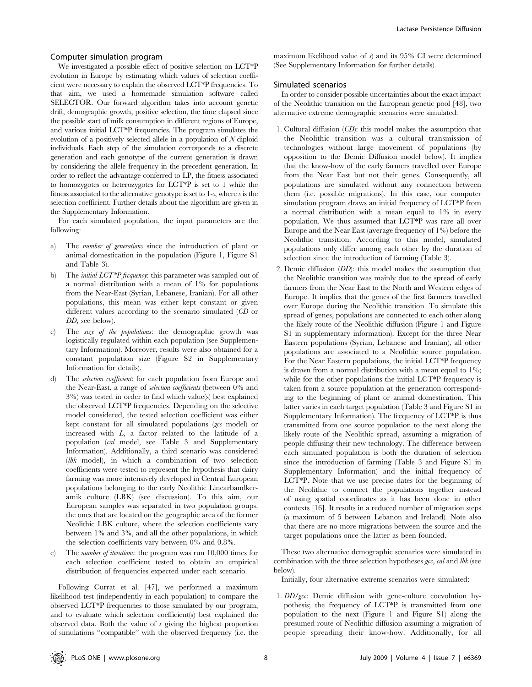#### Computer simulation program

We investigated a possible effect of positive selection on LCT\*P evolution in Europe by estimating which values of selection coefficient were necessary to explain the observed LCT\*P frequencies. To that aim, we used a homemade simulation software called SELECTOR. Our forward algorithm takes into account genetic drift, demographic growth, positive selection, the time elapsed since the possible start of milk consumption in different regions of Europe, and various initial LCT\*P frequencies. The program simulates the evolution of a positively selected allele in a population of  $N$  diploid individuals. Each step of the simulation corresponds to a discrete generation and each genotype of the current generation is drawn by considering the allele frequency in the precedent generation. In order to reflect the advantage conferred to LP, the fitness associated to homozygotes or heterozygotes for LCT\*P is set to 1 while the fitness associated to the alternative genotype is set to 1-s, where s is the selection coefficient. Further details about the algorithm are given in the Supplementary Information.

For each simulated population, the input parameters are the following:

- a) The number of generations since the introduction of plant or animal domestication in the population (Figure 1, Figure S1 and Table 3).
- b) The *initial LCT\*P frequency*: this parameter was sampled out of a normal distribution with a mean of 1% for populations from the Near-East (Syrian, Lebanese, Iranian). For all other populations, this mean was either kept constant or given different values according to the scenario simulated (CD or DD, see below).
- c) The size of the populations: the demographic growth was logistically regulated within each population (see Supplementary Information). Moreover, results were also obtained for a constant population size (Figure S2 in Supplementary Information for details).
- d) The selection coefficient: for each population from Europe and the Near-East, a range of selection coefficients (between 0% and 3%) was tested in order to find which value(s) best explained the observed LCT\*P frequencies. Depending on the selective model considered, the tested selection coefficient was either kept constant for all simulated populations (gcc model) or increased with L, a factor related to the latitude of a population (cal model, see Table 3 and Supplementary Information). Additionally, a third scenario was considered (lbk model), in which a combination of two selection coefficients were tested to represent the hypothesis that dairy farming was more intensively developed in Central European populations belonging to the early Neolithic Linearbandkeramik culture (LBK) (see discussion). To this aim, our European samples was separated in two population groups: the ones that are located on the geographic area of the former Neolithic LBK culture, where the selection coefficients vary between 1% and 3%, and all the other populations, in which the selection coefficients vary between 0% and 0.8%.
- The number of iterations: the program was run 10,000 times for each selection coefficient tested to obtain an empirical distribution of frequencies expected under each scenario.

Following Currat et al. [47], we performed a maximum likelihood test (independently in each population) to compare the observed LCT\*P frequencies to those simulated by our program, and to evaluate which selection coefficient(s) best explained the observed data. Both the value of s giving the highest proportion of simulations ''compatible'' with the observed frequency (i.e. the maximum likelihood value of  $s$ ) and its 95% CI were determined (See Supplementary Information for further details).

#### Simulated scenarios

In order to consider possible uncertainties about the exact impact of the Neolithic transition on the European genetic pool [48], two alternative extreme demographic scenarios were simulated:

- 1. Cultural diffusion (CD): this model makes the assumption that the Neolithic transition was a cultural transmission of technologies without large movement of populations (by opposition to the Demic Diffusion model below). It implies that the know-how of the early farmers travelled over Europe from the Near East but not their genes. Consequently, all populations are simulated without any connection between them (i.e. possible migrations). In this case, our computer simulation program draws an initial frequency of LCT\*P from a normal distribution with a mean equal to 1% in every population. We thus assumed that LCT\*P was rare all over Europe and the Near East (average frequency of 1%) before the Neolithic transition. According to this model, simulated populations only differ among each other by the duration of selection since the introduction of farming (Table 3).
- 2. Demic diffusion (DD): this model makes the assumption that the Neolithic transition was mainly due to the spread of early farmers from the Near East to the North and Western edges of Europe. It implies that the genes of the first farmers travelled over Europe during the Neolithic transition. To simulate this spread of genes, populations are connected to each other along the likely route of the Neolithic diffusion (Figure 1 and Figure S1 in supplementary information). Except for the three Near Eastern populations (Syrian, Lebanese and Iranian), all other populations are associated to a Neolithic source population. For the Near Eastern populations, the initial LCT\*P frequency is drawn from a normal distribution with a mean equal to 1%; while for the other populations the initial LCT\*P frequency is taken from a source population at the generation corresponding to the beginning of plant or animal domestication. This latter varies in each target population (Table 3 and Figure S1 in Supplementary Information). The frequency of LCT\*P is thus transmitted from one source population to the next along the likely route of the Neolithic spread, assuming a migration of people diffusing their new technology. The difference between each simulated population is both the duration of selection since the introduction of farming (Table 3 and Figure S1 in Supplementary Information) and the initial frequency of LCT\*P. Note that we use precise dates for the beginning of the Neolithic to connect the populations together instead of using spatial coordinates as it has been done in other contexts [16]. It results in a reduced number of migration steps (a maximum of 5 between Lebanon and Ireland). Note also that there are no more migrations between the source and the target populations once the latter as been founded.

These two alternative demographic scenarios were simulated in combination with the three selection hypotheses gcc, cal and lbk (see below).

Initially, four alternative extreme scenarios were simulated:

1. DD/gcc: Demic diffusion with gene-culture coevolution hypothesis; the frequency of LCT\*P is transmitted from one population to the next (Figure 1 and Figure S1) along the presumed route of Neolithic diffusion assuming a migration of people spreading their know-how. Additionally, for all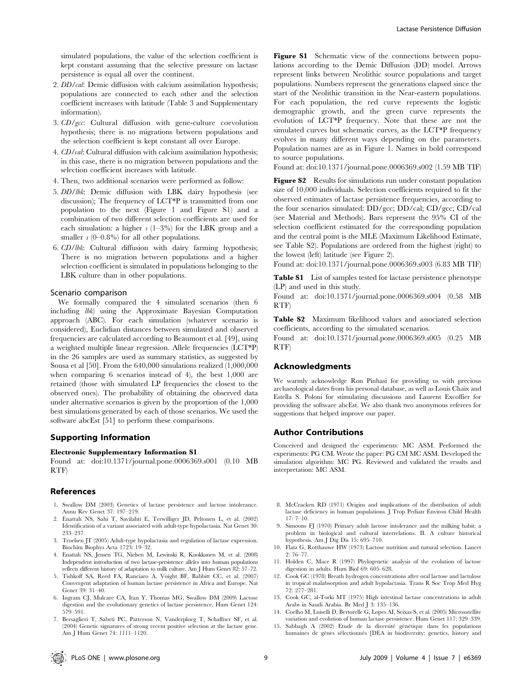- 2. *DD/cal*: Demic diffusion with calcium assimilation hypothesis; populations are connected to each other and the selection coefficient increases with latitude (Table 3 and Supplementary information).
- 3. CD/gcc: Cultural diffusion with gene-culture coevolution hypothesis; there is no migrations between populations and the selection coefficient is kept constant all over Europe.
- 4. CD/cal: Cultural diffusion with calcium assimilation hypothesis; in this case, there is no migration between populations and the selection coefficient increases with latitude.
- 4. Then, two additional scenarios were performed as follow:
- 5. DD/lbk: Demic diffusion with LBK dairy hypothesis (see discussion); The frequency of LCT\*P is transmitted from one population to the next (Figure 1 and Figure S1) and a combination of two different selection coefficients are used for each simulation: a higher  $s$  (1–3%) for the LBK group and a smaller  $s$  (0–0.8%) for all other populations.
- 6. CD/lbk: Cultural diffusion with dairy farming hypothesis; There is no migration between populations and a higher selection coefficient is simulated in populations belonging to the LBK culture than in other populations.

#### Scenario comparison

We formally compared the 4 simulated scenarios (then 6 including lbk) using the Approximate Bayesian Computation approach (ABC). For each simulation (whatever scenario is considered), Euclidian distances between simulated and observed frequencies are calculated according to Beaumont et al. [49], using a weighted multiple linear regression. Allele frequencies (LCT\*P) in the 26 samples are used as summary statistics, as suggested by Sousa et al [50]. From the 640,000 simulations realized (1,000,000 when comparing 6 scenarios instead of 4), the best 1,000 are retained (those with simulated LP frequencies the closest to the observed ones). The probability of obtaining the observed data under alternative scenarios is given by the proportion of the 1,000 best simulations generated by each of those scenarios. We used the software abcEst [51] to perform these comparisons.

## Supporting Information

#### Electronic Supplementary Information S1

Found at: doi:10.1371/journal.pone.0006369.s001 (0.10 MB RTF)

## References

- 1. Swallow DM (2003) Genetics of lactase persistence and lactose intolerance. Annu Rev Genet 37: 197–219.
- 2. Enattah NS, Sahi T, Savilahti E, Terwilliger JD, Peltonen L, et al. (2002) Identification of a variant associated with adult-type hypolactasia. Nat Genet 30: 233–237.
- 3. Troelsen JT (2005) Adult-type hypolactasia and regulation of lactase expression. Biochim Biophys Acta 1723: 19–32.
- 4. Enattah NS, Jensen TG, Nielsen M, Lewinski R, Kuokkanen M, et al. (2008) Independent introduction of two lactase-persistence alleles into human populations reflects different history of adaptation to milk culture. Am J Hum Genet 82: 57–72.
- 5. Tishkoff SA, Reed FA, Ranciaro A, Voight BF, Babbitt CC, et al. (2007) Convergent adaptation of human lactase persistence in Africa and Europe. Nat Genet 39: 31–40.
- 6. Ingram CJ, Mulcare CA, Itan Y, Thomas MG, Swallow DM (2009) Lactose digestion and the evolutionary genetics of lactase persistence. Hum Genet 124: 579–591.
- 7. Bersaglieri T, Sabeti PC, Patterson N, Vanderploeg T, Schaffner SF, et al. (2004) Genetic signatures of strong recent positive selection at the lactase gene. Am J Hum Genet 74: 1111–1120.

Figure S1 Schematic view of the connections between populations according to the Demic Diffusion (DD) model. Arrows represent links between Neolithic source populations and target populations. Numbers represent the generations elapsed since the start of the Neolithic transition in the Near-eastern populations. For each population, the red curve represents the logistic demographic growth, and the green curve represents the evolution of LCT\*P frequency. Note that these are not the simulated curves but schematic curves, as the LCT\*P frequency evolves in many different ways depending on the parameters. Population names are as in Figure 1. Names in bold correspond to source populations.

Found at: doi:10.1371/journal.pone.0006369.s002 (1.59 MB TIF)

Figure S2 Results for simulations run under constant population size of 10,000 individuals. Selection coefficients required to fit the observed estimates of lactase persistence frequencies, according to the four scenarios simulated: DD/gcc; DD/cal; CD/gcc; CD/cal (see Material and Methods). Bars represent the 95% CI of the selection coefficient estimated for the corresponding population and the central point is the MLE (Maximum Likelihood Estimate, see Table S2). Populations are ordered from the highest (right) to the lowest (left) latitude (see Figure 2).

Found at: doi:10.1371/journal.pone.0006369.s003 (6.83 MB TIF)

Table S1 List of samples tested for lactase persistence phenotype (LP) and used in this study.

Found at: doi:10.1371/journal.pone.0006369.s004 (0.58 MB RTF)

Table S2 Maximum likelihood values and associated selection coefficients, according to the simulated scenarios.

Found at: doi:10.1371/journal.pone.0006369.s005 (0.25 MB RTF)

## Acknowledgments

We warmly acknowledge Ron Pinhasi for providing us with precious archaeological dates from his personal database, as well as Louis Chaix and Estella S. Poloni for stimulating discussions and Laurent Excoffier for providing the software abcEst. We also thank two anonymous referees for suggestions that helped improve our paper.

#### Author Contributions

Conceived and designed the experiments: MC ASM. Performed the experiments: PG CM. Wrote the paper: PG CM MC ASM. Developed the simulation algorithm: MC PG. Reviewed and validated the results and interpretation: MC ASM.

- 8. McCracken RD (1971) Origins and implications of the distribution of adult lactase deficiency in human populations. J Trop Pediatr Environ Child Health 17: 7–10.
- 9. Simoons FJ (1970) Primary adult lactose intolerance and the milking habit: a problem in biological and cultural interrelations. II. A culture historical hypothesis. Am J Dig Dis 15: 695–710.
- 10. Flatz G, Rotthauwe HW (1973) Lactose nutrition and natural selection. Lancet 2: 76–77.
- 11. Holden C, Mace R (1997) Phylogenetic analysis of the evolution of lactose digestion in adults. Hum Biol 69: 605–628.
- 12. Cook GC (1978) Breath hydrogen concentrations after oral lactose and lactulose in tropical malabsorption and adult hypolactasia. Trans R Soc Trop Med Hyg 72: 277–281.
- 13. Cook GC, al-Torki MT (1975) High intestinal lactase concentrations in adult Arabs in Saudi Arabia. Br Med J 3: 135–136.
- 14. Coelho M, Luiselli D, Bertorelle G, Lopes AI, Seixas S, et al. (2005) Microsatellite variation and evolution of human lactase persistence. Hum Genet 117: 329–339.
- 15. Sabbagh A (2002) Etude de la diversité génétique dans les populations humaines de gènes sélectionnés [DEA in biodiversity: genetics, history and